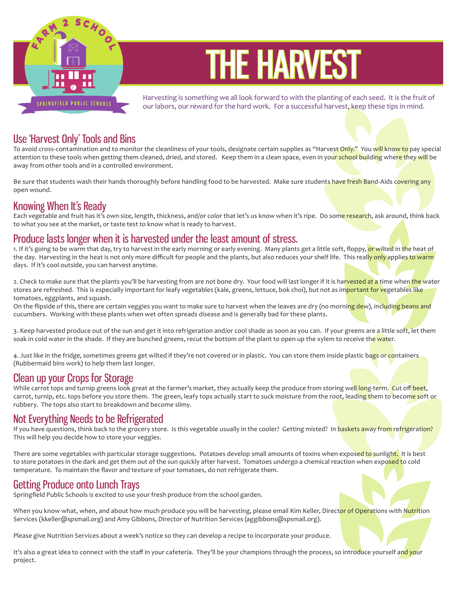

# THE HARVEST

Harvesting is something we all look forward to with the planting of each seed. It is the fruit of our labors, our reward for the hard work. For a successful harvest, keep these tips in mind.

## Use 'Harvest Only' Tools and Bins

To avoid cross-contamination and to monitor the cleanliness of your tools, designate certain supplies as "Harvest Only." You will know to pay special attention to these tools when getting them cleaned, dried, and stored. Keep them in a clean space, even in your school building where they will be away from other tools and in a controlled environment.

Be sure that students wash their hands thoroughly before handling food to be harvested. Make sure students have fresh Band-Aids covering any open wound.

#### Knowing When It's Ready

Each vegetable and fruit has it's own size, length, thickness, and/or color that let's us know when it's ripe. Do some research, ask around, think back to what you see at the market, or taste test to know what is ready to harvest.

#### Produce lasts longer when it is harvested under the least amount of stress.

1. If it's going to be warm that day, try to harvest in the early morning or early evening. Many plants get a little soft, floppy, or wilted in the heat of the day. Harvesting in the heat is not only more difficult for people and the plants, but also reduces your shelf life. This really only applies to warm days. If it's cool outside, you can harvest anytime.

2. Check to make sure that the plants you'll be harvesting from are not bone dry. Your food will last longer if it is harvested at a time when the water stores are refreshed. This is especially important for leafy vegetables (kale, greens, lettuce, bok choi), but not as im<mark>portant for v</mark>egetable<mark>s like</mark> tomatoes, eggplants, and squash.

On the flipside of this, there are certain veggies you want to make sure to harvest when the leaves are dry (no morning dew), including beans and cucumbers. Working with these plants when wet often spreads disease and is generally bad for these plants.

3. Keep harvested produce out of the sun and get it into refrigeration and/or cool shade as soon as you can. If your greens are a little soft, let them soak in cold water in the shade. If they are bunched greens, recut the bottom of the plant to open up the xylem to receive the water.

4. Just like in the fridge, sometimes greens get wilted if they're not covered or in plastic. You can store them inside plastic bags or containers (Rubbermaid bins work) to help them last longer.

#### Clean up your Crops for Storage

While carrot tops and turnip greens look great at the farmer's market, they actually keep the produce from storing well long-term. Cut off beet, carrot, turnip, etc. tops before you store them. The green, leafy tops actually start to suck moisture from the root, leading them to become soft or rubbery. The tops also start to breakdown and become slimy.

#### Not Everything Needs to be Refrigerated

If you have questions, think back to the grocery store. Is this vegetable usually in the cooler? Getting misted? In baskets away from refrigeration? This will help you decide how to store your veggies.

There are some vegetables with particular storage suggestions. Potatoes develop small amounts of toxins when exposed to sunlight. It is best to store potatoes in the dark and get them out of the sun quickly after harvest. Tomatoes undergo a chemical reaction when exposed to cold temperature. To maintain the flavor and texture of your tomatoes, do not refrigerate them.

## Getting Produce onto Lunch Trays

Springfield Public Schools is excited to use your fresh produce from the school garden.

When you know what, when, and about how much produce you will be harvesting, please email Kim Keller, Direct<mark>or of Opera</mark>tions with Nutrition Services (kkeller@spsmail.org) and Amy Gibbons, Director of Nutrition Services (aggibbons@spsmail.org).

Please give Nutrition Services about a week's notice so they can develop a recipe to incorporate your produce.

It's also a great idea to connect with the staff in your cafeteria. They'll be your champions through the process, so introduce yourself and your project.